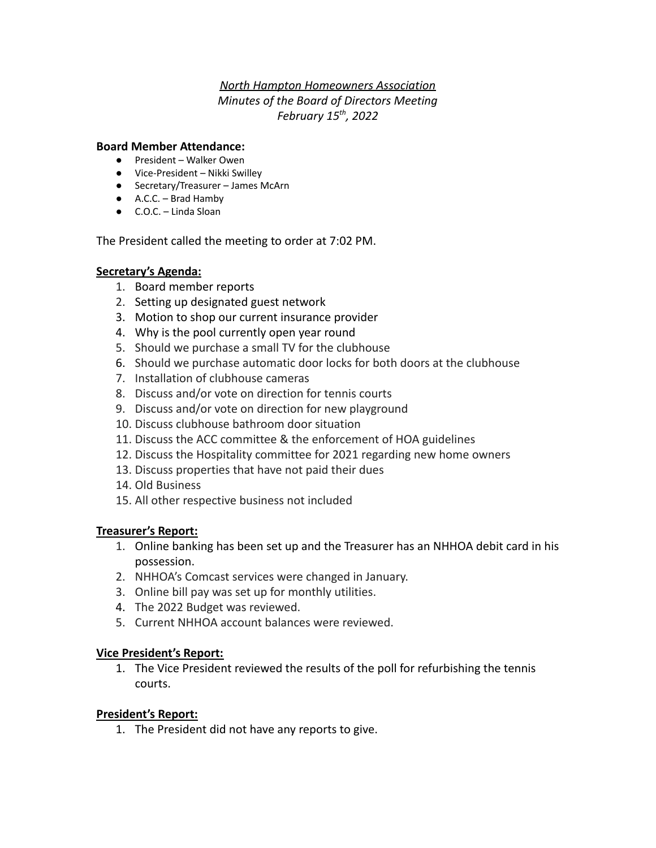## *North Hampton Homeowners Association Minutes of the Board of Directors Meeting February 15th , 2022*

### **Board Member Attendance:**

- President Walker Owen
- Vice-President Nikki Swilley
- Secretary/Treasurer James McArn
- A.C.C. Brad Hamby
- C.O.C. Linda Sloan

The President called the meeting to order at 7:02 PM.

#### **Secretary's Agenda:**

- 1. Board member reports
- 2. Setting up designated guest network
- 3. Motion to shop our current insurance provider
- 4. Why is the pool currently open year round
- 5. Should we purchase a small TV for the clubhouse
- 6. Should we purchase automatic door locks for both doors at the clubhouse
- 7. Installation of clubhouse cameras
- 8. Discuss and/or vote on direction for tennis courts
- 9. Discuss and/or vote on direction for new playground
- 10. Discuss clubhouse bathroom door situation
- 11. Discuss the ACC committee & the enforcement of HOA guidelines
- 12. Discuss the Hospitality committee for 2021 regarding new home owners
- 13. Discuss properties that have not paid their dues
- 14. Old Business
- 15. All other respective business not included

#### **Treasurer's Report:**

- 1. Online banking has been set up and the Treasurer has an NHHOA debit card in his possession.
- 2. NHHOA's Comcast services were changed in January.
- 3. Online bill pay was set up for monthly utilities.
- 4. The 2022 Budget was reviewed.
- 5. Current NHHOA account balances were reviewed.

#### **Vice President's Report:**

1. The Vice President reviewed the results of the poll for refurbishing the tennis courts.

#### **President's Report:**

1. The President did not have any reports to give.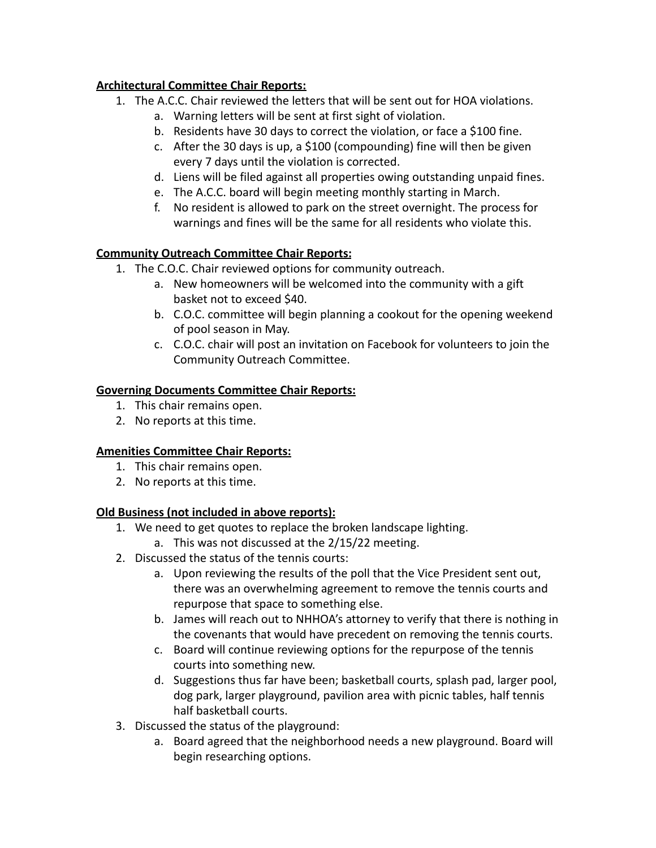# **Architectural Committee Chair Reports:**

- 1. The A.C.C. Chair reviewed the letters that will be sent out for HOA violations.
	- a. Warning letters will be sent at first sight of violation.
	- b. Residents have 30 days to correct the violation, or face a \$100 fine.
	- c. After the 30 days is up, a \$100 (compounding) fine will then be given every 7 days until the violation is corrected.
	- d. Liens will be filed against all properties owing outstanding unpaid fines.
	- e. The A.C.C. board will begin meeting monthly starting in March.
	- f. No resident is allowed to park on the street overnight. The process for warnings and fines will be the same for all residents who violate this.

# **Community Outreach Committee Chair Reports:**

- 1. The C.O.C. Chair reviewed options for community outreach.
	- a. New homeowners will be welcomed into the community with a gift basket not to exceed \$40.
	- b. C.O.C. committee will begin planning a cookout for the opening weekend of pool season in May.
	- c. C.O.C. chair will post an invitation on Facebook for volunteers to join the Community Outreach Committee.

## **Governing Documents Committee Chair Reports:**

- 1. This chair remains open.
- 2. No reports at this time.

## **Amenities Committee Chair Reports:**

- 1. This chair remains open.
- 2. No reports at this time.

# **Old Business (not included in above reports):**

- 1. We need to get quotes to replace the broken landscape lighting.
	- a. This was not discussed at the 2/15/22 meeting.
- 2. Discussed the status of the tennis courts:
	- a. Upon reviewing the results of the poll that the Vice President sent out, there was an overwhelming agreement to remove the tennis courts and repurpose that space to something else.
	- b. James will reach out to NHHOA's attorney to verify that there is nothing in the covenants that would have precedent on removing the tennis courts.
	- c. Board will continue reviewing options for the repurpose of the tennis courts into something new.
	- d. Suggestions thus far have been; basketball courts, splash pad, larger pool, dog park, larger playground, pavilion area with picnic tables, half tennis half basketball courts.
- 3. Discussed the status of the playground:
	- a. Board agreed that the neighborhood needs a new playground. Board will begin researching options.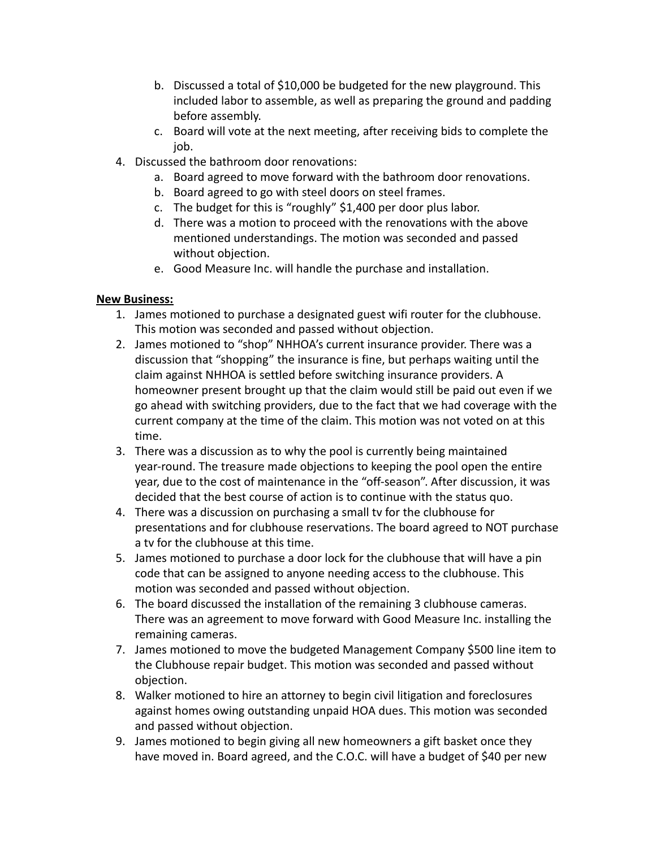- b. Discussed a total of \$10,000 be budgeted for the new playground. This included labor to assemble, as well as preparing the ground and padding before assembly.
- c. Board will vote at the next meeting, after receiving bids to complete the iob.
- 4. Discussed the bathroom door renovations:
	- a. Board agreed to move forward with the bathroom door renovations.
	- b. Board agreed to go with steel doors on steel frames.
	- c. The budget for this is "roughly" \$1,400 per door plus labor.
	- d. There was a motion to proceed with the renovations with the above mentioned understandings. The motion was seconded and passed without objection.
	- e. Good Measure Inc. will handle the purchase and installation.

## **New Business:**

- 1. James motioned to purchase a designated guest wifi router for the clubhouse. This motion was seconded and passed without objection.
- 2. James motioned to "shop" NHHOA's current insurance provider. There was a discussion that "shopping" the insurance is fine, but perhaps waiting until the claim against NHHOA is settled before switching insurance providers. A homeowner present brought up that the claim would still be paid out even if we go ahead with switching providers, due to the fact that we had coverage with the current company at the time of the claim. This motion was not voted on at this time.
- 3. There was a discussion as to why the pool is currently being maintained year-round. The treasure made objections to keeping the pool open the entire year, due to the cost of maintenance in the "off-season". After discussion, it was decided that the best course of action is to continue with the status quo.
- 4. There was a discussion on purchasing a small tv for the clubhouse for presentations and for clubhouse reservations. The board agreed to NOT purchase a tv for the clubhouse at this time.
- 5. James motioned to purchase a door lock for the clubhouse that will have a pin code that can be assigned to anyone needing access to the clubhouse. This motion was seconded and passed without objection.
- 6. The board discussed the installation of the remaining 3 clubhouse cameras. There was an agreement to move forward with Good Measure Inc. installing the remaining cameras.
- 7. James motioned to move the budgeted Management Company \$500 line item to the Clubhouse repair budget. This motion was seconded and passed without objection.
- 8. Walker motioned to hire an attorney to begin civil litigation and foreclosures against homes owing outstanding unpaid HOA dues. This motion was seconded and passed without objection.
- 9. James motioned to begin giving all new homeowners a gift basket once they have moved in. Board agreed, and the C.O.C. will have a budget of \$40 per new